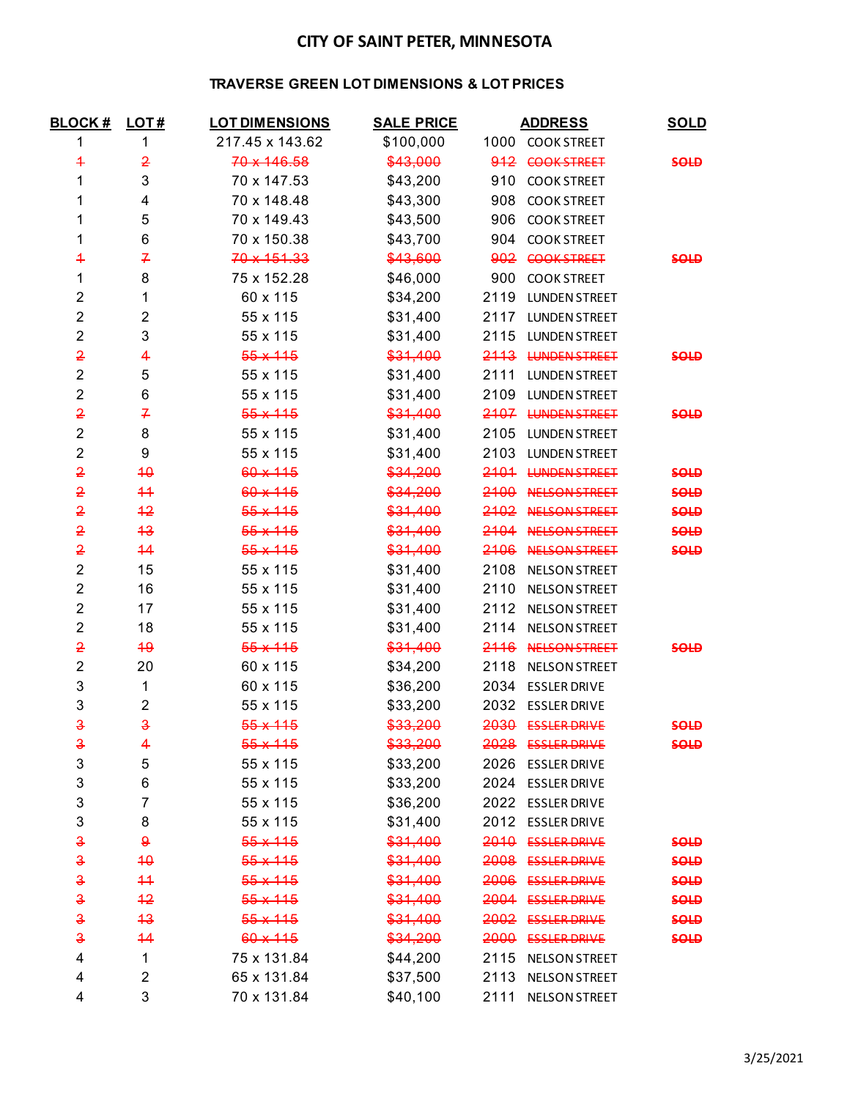## **CITY OF SAINT PETER, MINNESOTA**

### **TRAVERSE GREEN LOT DIMENSIONS & LOT PRICES**

| <b>BLOCK#</b>       | LOT#                | <b>LOT DIMENSIONS</b> | <b>SALE PRICE</b> | <b>ADDRESS</b> |                      | <b>SOLD</b> |
|---------------------|---------------------|-----------------------|-------------------|----------------|----------------------|-------------|
| 1                   | 1                   | 217.45 x 143.62       | \$100,000         |                | 1000 COOK STREET     |             |
| 4                   | $\overline{2}$      | 70 x 146.58           | \$43,000          |                | 912 COOK STREET      | <b>SOLD</b> |
| 1                   | 3                   | 70 x 147.53           | \$43,200          |                | 910 COOK STREET      |             |
| 1                   | 4                   | 70 x 148.48           | \$43,300          | 908            | <b>COOK STREET</b>   |             |
| 1                   | 5                   | 70 x 149.43           | \$43,500          |                | 906 COOK STREET      |             |
| 1                   | 6                   | 70 x 150.38           | \$43,700          |                | 904 COOK STREET      |             |
| 4                   | 7                   | 70 x 151.33           | \$43,600          |                | 902 COOK STREET      | <b>SOLD</b> |
| 1                   | 8                   | 75 x 152.28           | \$46,000          |                | 900 COOK STREET      |             |
| $\overline{c}$      | 1                   | 60 x 115              | \$34,200          | 2119           | <b>LUNDEN STREET</b> |             |
| $\overline{2}$      | $\overline{2}$      | 55 x 115              | \$31,400          | 2117           | <b>LUNDEN STREET</b> |             |
| $\overline{c}$      | 3                   | 55 x 115              | \$31,400          | 2115           | <b>LUNDEN STREET</b> |             |
| $\overline{2}$      | 4                   | $55 \times 115$       | \$31,400          |                | 2113 LUNDEN STREET   | <b>SOLD</b> |
| $\overline{2}$      | 5                   | 55 x 115              | \$31,400          | 2111           | <b>LUNDEN STREET</b> |             |
| $\overline{c}$      | 6                   | 55 x 115              | \$31,400          | 2109           | <b>LUNDEN STREET</b> |             |
| $\overline{2}$      | 7                   | $55 \times 115$       | \$31,400          |                | 2107 LUNDEN STREET   | <b>SOLD</b> |
| $\overline{2}$      | 8                   | 55 x 115              | \$31,400          | 2105           | <b>LUNDEN STREET</b> |             |
| $\overline{c}$      | 9                   | 55 x 115              | \$31,400          | 2103           | <b>LUNDEN STREET</b> |             |
| $\overline{2}$      | 40                  | 60 x 115              | \$34,200          |                | 2101 LUNDEN STREET   | <b>SOLD</b> |
| 2                   | $+4$                | 60 x 115              | \$34,200          |                | 2100 NELSON STREET   | <b>SOLD</b> |
| 2                   | $+2$                | $55 \times 115$       | \$31,400          |                | 2102 NELSON STREET   | <b>SOLD</b> |
| $\overline{2}$      | 43                  | $55 \times 115$       | \$31,400          |                | 2104 NELSON STREET   | <b>SOLD</b> |
| 2                   | 44                  | $55 + 115$            | \$31,400          |                | 2106 NELSON STREET   | <b>SOLD</b> |
| $\overline{c}$      | 15                  | 55 x 115              | \$31,400          | 2108           | <b>NELSON STREET</b> |             |
| $\overline{c}$      | 16                  | 55 x 115              | \$31,400          | 2110           | <b>NELSON STREET</b> |             |
| $\overline{2}$      | 17                  | 55 x 115              | \$31,400          | 2112           | <b>NELSON STREET</b> |             |
| $\overline{c}$      | 18                  | 55 x 115              | \$31,400          | 2114           | <b>NELSON STREET</b> |             |
| $\overline{2}$      | 49                  | $55 \times 115$       | \$31,400          |                | 2116 NELSON STREET   | <b>SOLD</b> |
| $\overline{c}$      | 20                  | 60 x 115              | \$34,200          | 2118           | <b>NELSON STREET</b> |             |
| 3                   | 1                   | 60 x 115              | \$36,200          | 2034           | <b>ESSLER DRIVE</b>  |             |
| 3                   | $\overline{2}$      | 55 x 115              | \$33,200          |                | 2032 ESSLER DRIVE    |             |
| $\ddot{\mathbf{3}}$ | $\ddot{\mathbf{3}}$ | $55 + 115$            | \$33,200          |                | 2030 ESSLER DRIVE    | <b>SOLD</b> |
| <del>3</del>        | 4                   | $55 \times 115$       | \$33,200          | 2028           | <b>ESSLER DRIVE</b>  | <b>SOLD</b> |
| 3                   | 5                   | 55 x 115              | \$33,200          | 2026           | <b>ESSLER DRIVE</b>  |             |
| 3                   | 6                   | 55 x 115              | \$33,200          | 2024           | <b>ESSLER DRIVE</b>  |             |
| 3                   | 7                   | 55 x 115              | \$36,200          | 2022           | <b>ESSLER DRIVE</b>  |             |
| 3                   | 8                   | 55 x 115              | \$31,400          |                | 2012 ESSLER DRIVE    |             |
| €                   | $\theta$            | $55 \times 115$       | \$31,400          |                | 2010 ESSLER DRIVE    | <b>SOLD</b> |
| $\ddot{\textbf{3}}$ | 40                  | $55 \times 115$       | \$31,400          |                | 2008 ESSLER DRIVE    | <b>SOLD</b> |
| $\ddot{\textbf{3}}$ | $+4$                | $55 + 115$            | \$31,400          | 2006           | <b>ESSLER DRIVE</b>  | <b>SOLD</b> |
| €                   | $+2$                | $55 \times 115$       | \$31,400          | 2004           | <b>ESSLER DRIVE</b>  | <b>SOLD</b> |
| $\mathbf{3}$        | 4 <sup>3</sup>      | $55 \times 115$       | \$31,400          | 2002           | <b>ESSLER DRIVE</b>  | <b>SOLD</b> |
| $\ddot{\mathbf{3}}$ | 44                  | 60 x 115              | \$34,200          | 2000           | <b>ESSLER DRIVE</b>  | <b>SOLD</b> |
| 4                   | 1                   | 75 x 131.84           | \$44,200          | 2115           | <b>NELSON STREET</b> |             |
| 4                   | 2                   | 65 x 131.84           | \$37,500          | 2113           | <b>NELSON STREET</b> |             |
| 4                   | 3                   | 70 x 131.84           | \$40,100          | 2111           | <b>NELSON STREET</b> |             |